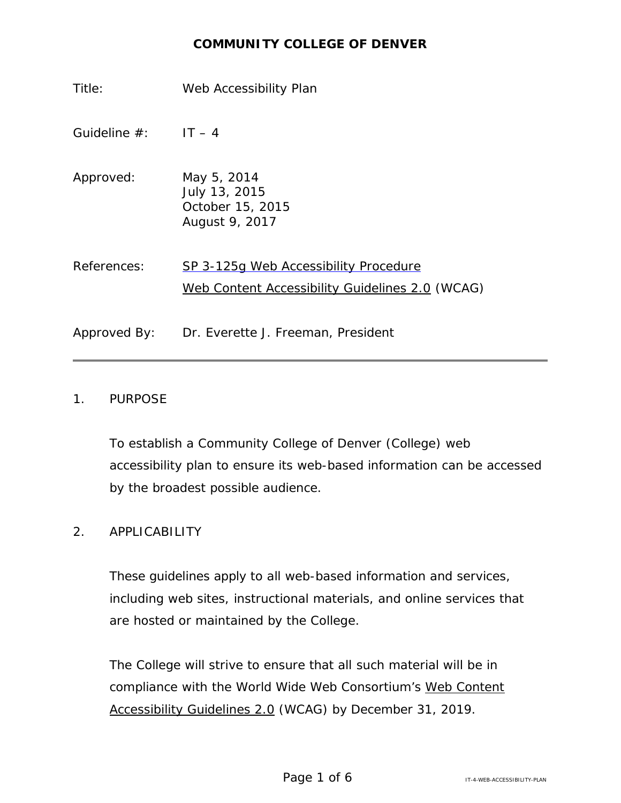## **COMMUNITY COLLEGE OF DENVER**

Title: Web Accessibility Plan Guideline  $#$ : IT – 4 Approved: May 5, 2014 July 13, 2015 October 15, 2015 August 9, 2017 References: SP 3-125g [Web Accessibility](https://www.cccs.edu/sp-3-125g-web-accessibility-procedure/) Procedure Web Content [Accessibility](https://www.w3.org/TR/WCAG20/) Guidelines 2.0 (WCAG) Approved By: Dr. Everette J. Freeman, President

#### 1. PURPOSE

To establish a Community College of Denver (College) web accessibility plan to ensure its web-based information can be accessed by the broadest possible audience.

## 2. APPLICABILITY

These guidelines apply to all web-based information and services, including web sites, instructional materials, and online services that are hosted or maintained by the College.

The College will strive to ensure that all such material will be in compliance with the World Wide Web Consortium's Web [Content](https://www.w3.org/TR/WCAG20/) [Accessibility](https://www.w3.org/TR/WCAG20/) Guidelines 2.0 (WCAG) by December 31, 2019.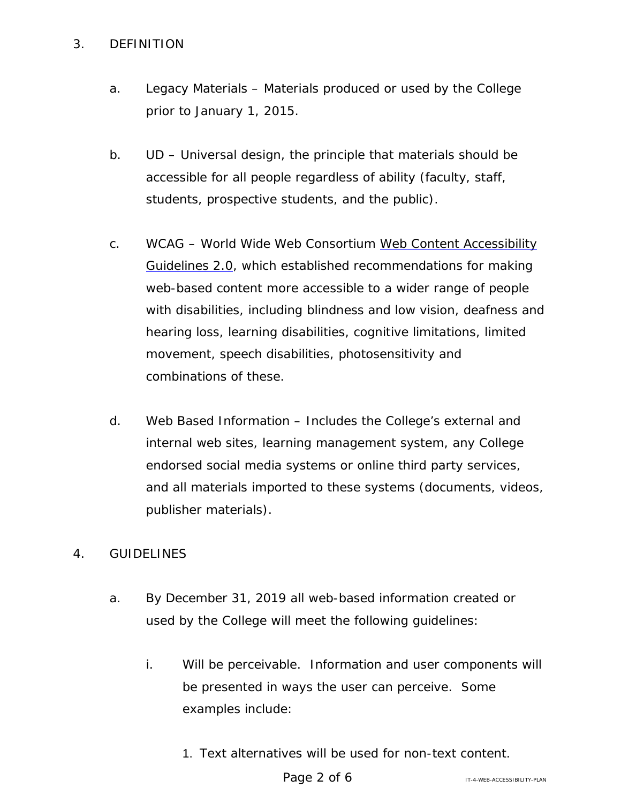## 3. DEFINITION

- a. Legacy Materials Materials produced or used by the College prior to January 1, 2015.
- b. UD Universal design, the principle that materials should be accessible for all people regardless of ability (faculty, staff, students, prospective students, and the public).
- c. WCAG World Wide Web Consortium Web Content [Accessibility](http://www.w3.org/TR/WCAG20/) [Guidelines](http://www.w3.org/TR/WCAG20/) 2.0, which established recommendations for making web-based content more accessible to a wider range of people with disabilities, including blindness and low vision, deafness and hearing loss, learning disabilities, cognitive limitations, limited movement, speech disabilities, photosensitivity and combinations of these.
- d. Web Based Information Includes the College's external and internal web sites, learning management system, any College endorsed social media systems or online third party services, and all materials imported to these systems (documents, videos, publisher materials).

# 4. GUIDELINES

- a. By December 31, 2019 all web-based information created or used by the College will meet the following guidelines:
	- i. Will be perceivable. Information and user components will be presented in ways the user can perceive. Some examples include:
		- 1. Text alternatives will be used for non-text content.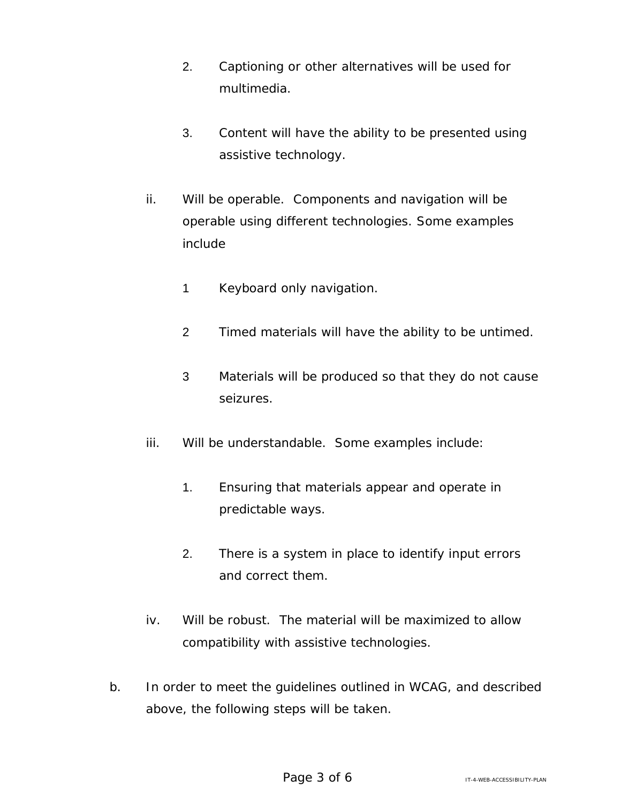- 2. Captioning or other alternatives will be used for multimedia.
- 3. Content will have the ability to be presented using assistive technology.
- ii. Will be operable. Components and navigation will be operable using different technologies. Some examples include
	- 1 Keyboard only navigation.
	- 2 Timed materials will have the ability to be untimed.
	- 3 Materials will be produced so that they do not cause seizures.
- iii. Will be understandable. Some examples include:
	- 1. Ensuring that materials appear and operate in predictable ways.
	- 2. There is a system in place to identify input errors and correct them.
- iv. Will be robust. The material will be maximized to allow compatibility with assistive technologies.
- b. In order to meet the guidelines outlined in WCAG, and described above, the following steps will be taken.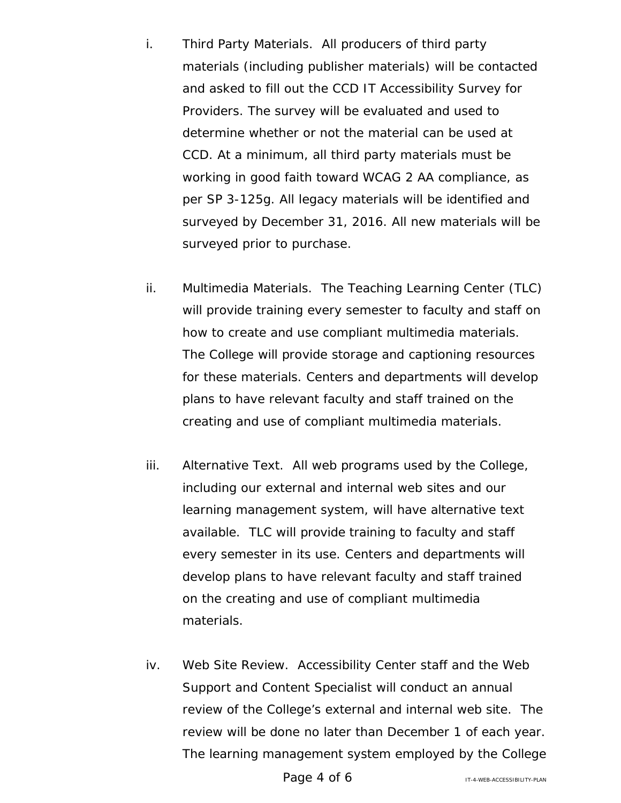- i. Third Party Materials. All producers of third party materials (including publisher materials) will be contacted and asked to fill out the CCD IT Accessibility Survey for Providers. The survey will be evaluated and used to determine whether or not the material can be used at CCD. At a minimum, all third party materials must be working in good faith toward WCAG 2 AA compliance, as per SP 3-125g. All legacy materials will be identified and surveyed by December 31, 2016. All new materials will be surveyed prior to purchase.
- ii. Multimedia Materials. The Teaching Learning Center (TLC) will provide training every semester to faculty and staff on how to create and use compliant multimedia materials. The College will provide storage and captioning resources for these materials. Centers and departments will develop plans to have relevant faculty and staff trained on the creating and use of compliant multimedia materials.
- iii. Alternative Text. All web programs used by the College, including our external and internal web sites and our learning management system, will have alternative text available. TLC will provide training to faculty and staff every semester in its use. Centers and departments will develop plans to have relevant faculty and staff trained on the creating and use of compliant multimedia materials.
- iv. Web Site Review. Accessibility Center staff and the Web Support and Content Specialist will conduct an annual review of the College's external and internal web site. The review will be done no later than December 1 of each year. The learning management system employed by the College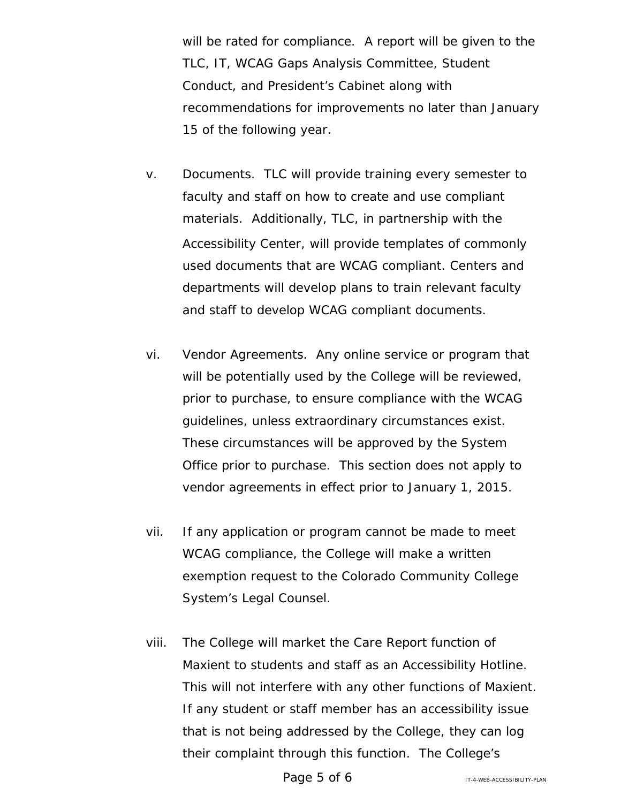will be rated for compliance. A report will be given to the TLC, IT, WCAG Gaps Analysis Committee, Student Conduct, and President's Cabinet along with recommendations for improvements no later than January 15 of the following year.

- v. Documents. TLC will provide training every semester to faculty and staff on how to create and use compliant materials. Additionally, TLC, in partnership with the Accessibility Center, will provide templates of commonly used documents that are WCAG compliant. Centers and departments will develop plans to train relevant faculty and staff to develop WCAG compliant documents.
- vi. Vendor Agreements. Any online service or program that will be potentially used by the College will be reviewed, prior to purchase, to ensure compliance with the WCAG guidelines, unless extraordinary circumstances exist. These circumstances will be approved by the System Office prior to purchase. This section does not apply to vendor agreements in effect prior to January 1, 2015.
- vii. If any application or program cannot be made to meet WCAG compliance, the College will make a written exemption request to the Colorado Community College System's Legal Counsel.
- viii. The College will market the Care Report function of Maxient to students and staff as an Accessibility Hotline. This will not interfere with any other functions of Maxient. If any student or staff member has an accessibility issue that is not being addressed by the College, they can log their complaint through this function. The College's